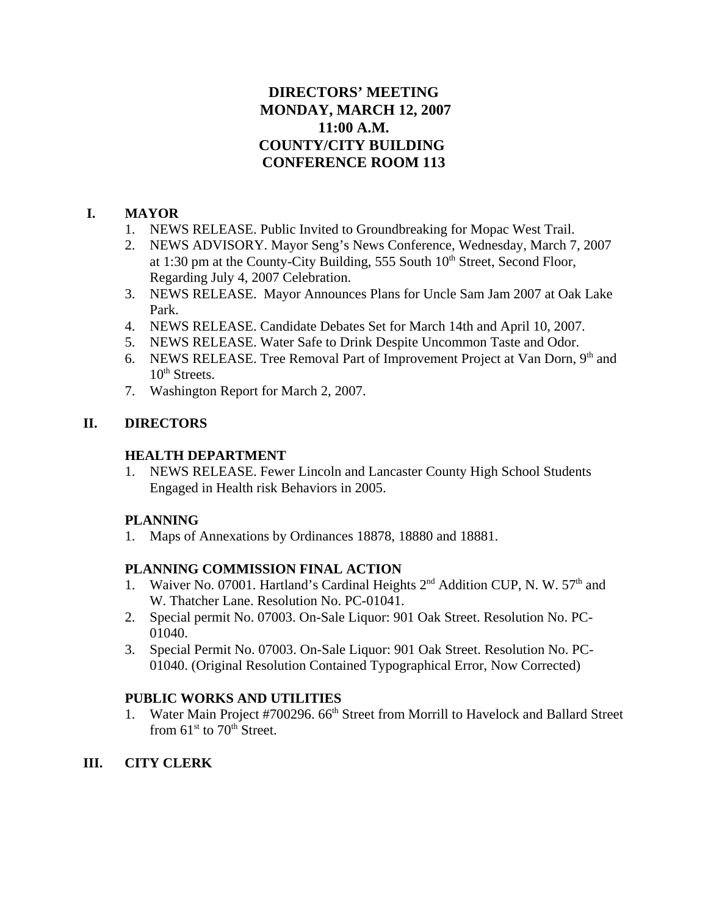# **DIRECTORS' MEETING MONDAY, MARCH 12, 2007 11:00 A.M. COUNTY/CITY BUILDING CONFERENCE ROOM 113**

# **I. MAYOR**

- 1. NEWS RELEASE. Public Invited to Groundbreaking for Mopac West Trail.
- 2. NEWS ADVISORY. Mayor Seng's News Conference, Wednesday, March 7, 2007 at 1:30 pm at the County-City Building,  $555$  South  $10<sup>th</sup>$  Street, Second Floor, Regarding July 4, 2007 Celebration.
- 3. NEWS RELEASE. Mayor Announces Plans for Uncle Sam Jam 2007 at Oak Lake Park.
- 4. NEWS RELEASE. Candidate Debates Set for March 14th and April 10, 2007.
- 5. NEWS RELEASE. Water Safe to Drink Despite Uncommon Taste and Odor.
- 6. NEWS RELEASE. Tree Removal Part of Improvement Project at Van Dorn,  $9<sup>th</sup>$  and 10<sup>th</sup> Streets.
- 7. Washington Report for March 2, 2007.

# **II. DIRECTORS**

## **HEALTH DEPARTMENT**

1. NEWS RELEASE. Fewer Lincoln and Lancaster County High School Students Engaged in Health risk Behaviors in 2005.

## **PLANNING**

1. Maps of Annexations by Ordinances 18878, 18880 and 18881.

# **PLANNING COMMISSION FINAL ACTION**

- 1. Waiver No. 07001. Hartland's Cardinal Heights  $2<sup>nd</sup>$  Addition CUP, N. W. 57<sup>th</sup> and W. Thatcher Lane. Resolution No. PC-01041.
- 2. Special permit No. 07003. On-Sale Liquor: 901 Oak Street. Resolution No. PC-01040.
- 3. Special Permit No. 07003. On-Sale Liquor: 901 Oak Street. Resolution No. PC-01040. (Original Resolution Contained Typographical Error, Now Corrected)

# **PUBLIC WORKS AND UTILITIES**

1. Water Main Project #700296. 66<sup>th</sup> Street from Morrill to Havelock and Ballard Street from  $61<sup>st</sup>$  to  $70<sup>th</sup>$  Street.

# **III. CITY CLERK**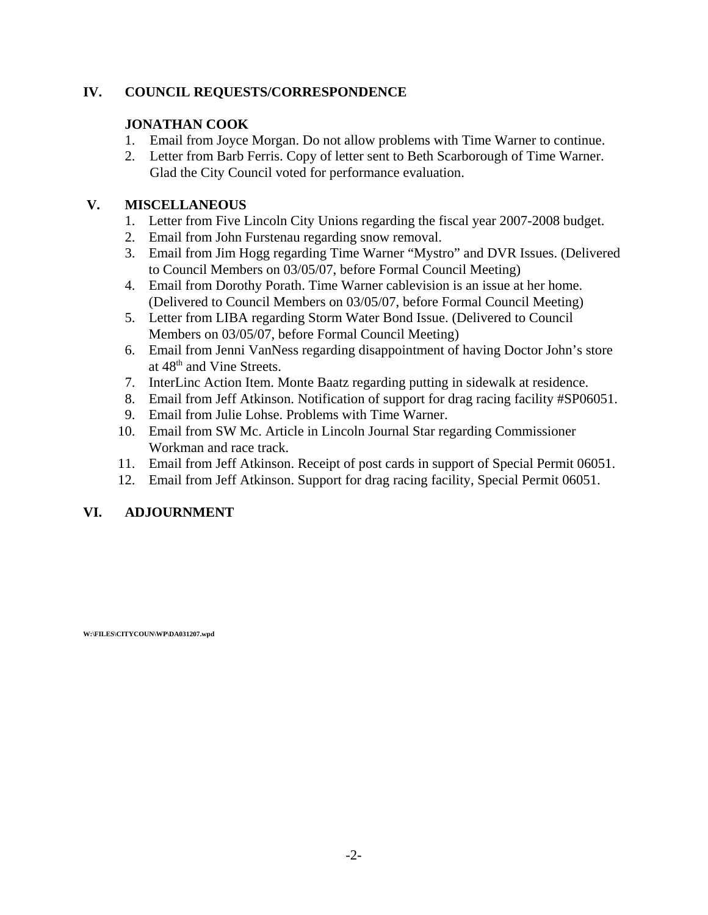## **IV. COUNCIL REQUESTS/CORRESPONDENCE**

# **JONATHAN COOK**

- 1. Email from Joyce Morgan. Do not allow problems with Time Warner to continue.
- 2. Letter from Barb Ferris. Copy of letter sent to Beth Scarborough of Time Warner. Glad the City Council voted for performance evaluation.

## **V. MISCELLANEOUS**

- 1. Letter from Five Lincoln City Unions regarding the fiscal year 2007-2008 budget.
- 2. Email from John Furstenau regarding snow removal.
- 3. Email from Jim Hogg regarding Time Warner "Mystro" and DVR Issues. (Delivered to Council Members on 03/05/07, before Formal Council Meeting)
- 4. Email from Dorothy Porath. Time Warner cablevision is an issue at her home. (Delivered to Council Members on 03/05/07, before Formal Council Meeting)
- 5. Letter from LIBA regarding Storm Water Bond Issue. (Delivered to Council Members on 03/05/07, before Formal Council Meeting)
- 6. Email from Jenni VanNess regarding disappointment of having Doctor John's store at 48<sup>th</sup> and Vine Streets.
- 7. InterLinc Action Item. Monte Baatz regarding putting in sidewalk at residence.
- 8. Email from Jeff Atkinson. Notification of support for drag racing facility #SP06051.
- 9. Email from Julie Lohse. Problems with Time Warner.
- 10. Email from SW Mc. Article in Lincoln Journal Star regarding Commissioner Workman and race track.
- 11. Email from Jeff Atkinson. Receipt of post cards in support of Special Permit 06051.
- 12. Email from Jeff Atkinson. Support for drag racing facility, Special Permit 06051.

# **VI. ADJOURNMENT**

**W:\FILES\CITYCOUN\WP\DA031207.wpd**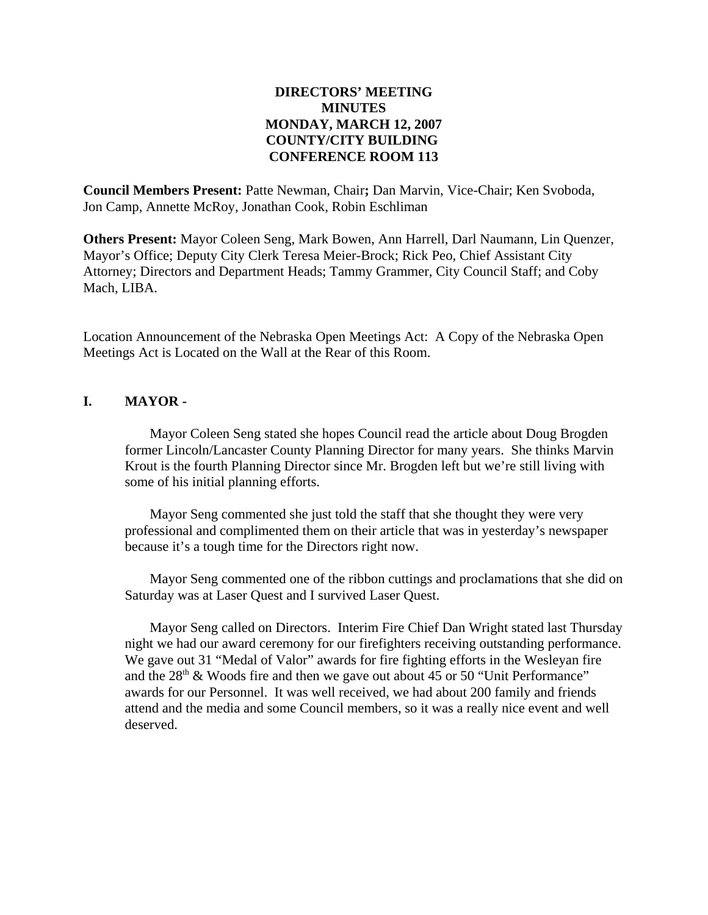### **DIRECTORS' MEETING MINUTES MONDAY, MARCH 12, 2007 COUNTY/CITY BUILDING CONFERENCE ROOM 113**

**Council Members Present:** Patte Newman, Chair**;** Dan Marvin, Vice-Chair; Ken Svoboda, Jon Camp, Annette McRoy, Jonathan Cook, Robin Eschliman

**Others Present:** Mayor Coleen Seng, Mark Bowen, Ann Harrell, Darl Naumann, Lin Quenzer, Mayor's Office; Deputy City Clerk Teresa Meier-Brock; Rick Peo, Chief Assistant City Attorney; Directors and Department Heads; Tammy Grammer, City Council Staff; and Coby Mach, LIBA.

Location Announcement of the Nebraska Open Meetings Act: A Copy of the Nebraska Open Meetings Act is Located on the Wall at the Rear of this Room.

#### **I. MAYOR -**

Mayor Coleen Seng stated she hopes Council read the article about Doug Brogden former Lincoln/Lancaster County Planning Director for many years. She thinks Marvin Krout is the fourth Planning Director since Mr. Brogden left but we're still living with some of his initial planning efforts.

Mayor Seng commented she just told the staff that she thought they were very professional and complimented them on their article that was in yesterday's newspaper because it's a tough time for the Directors right now.

Mayor Seng commented one of the ribbon cuttings and proclamations that she did on Saturday was at Laser Quest and I survived Laser Quest.

Mayor Seng called on Directors. Interim Fire Chief Dan Wright stated last Thursday night we had our award ceremony for our firefighters receiving outstanding performance. We gave out 31 "Medal of Valor" awards for fire fighting efforts in the Wesleyan fire and the  $28<sup>th</sup>$  & Woods fire and then we gave out about 45 or 50 "Unit Performance" awards for our Personnel. It was well received, we had about 200 family and friends attend and the media and some Council members, so it was a really nice event and well deserved.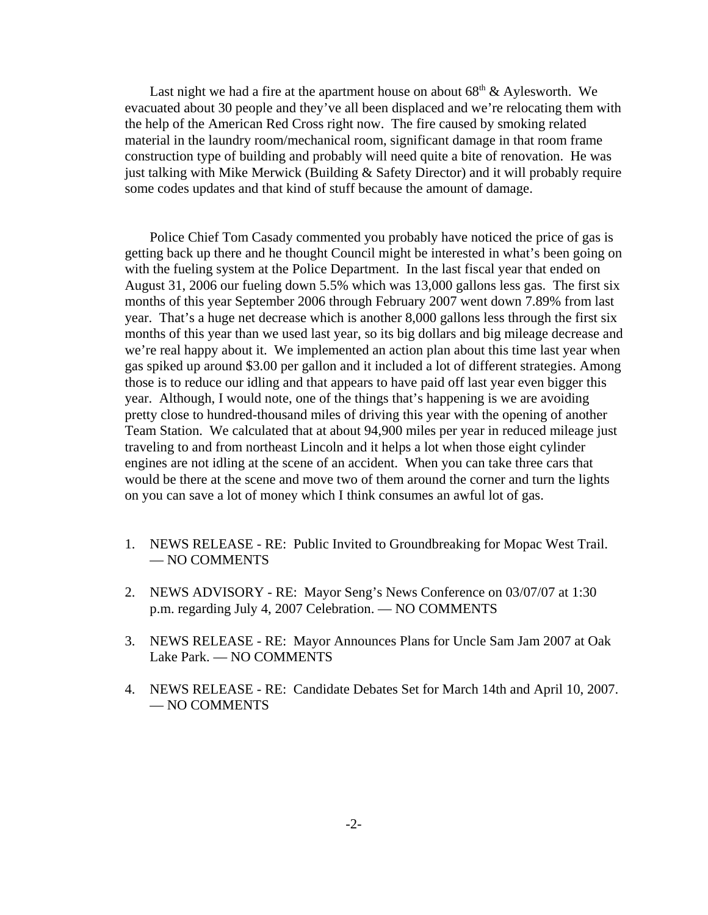Last night we had a fire at the apartment house on about  $68<sup>th</sup>$  & Aylesworth. We evacuated about 30 people and they've all been displaced and we're relocating them with the help of the American Red Cross right now. The fire caused by smoking related material in the laundry room/mechanical room, significant damage in that room frame construction type of building and probably will need quite a bite of renovation. He was just talking with Mike Merwick (Building & Safety Director) and it will probably require some codes updates and that kind of stuff because the amount of damage.

Police Chief Tom Casady commented you probably have noticed the price of gas is getting back up there and he thought Council might be interested in what's been going on with the fueling system at the Police Department. In the last fiscal year that ended on August 31, 2006 our fueling down 5.5% which was 13,000 gallons less gas. The first six months of this year September 2006 through February 2007 went down 7.89% from last year. That's a huge net decrease which is another 8,000 gallons less through the first six months of this year than we used last year, so its big dollars and big mileage decrease and we're real happy about it. We implemented an action plan about this time last year when gas spiked up around \$3.00 per gallon and it included a lot of different strategies. Among those is to reduce our idling and that appears to have paid off last year even bigger this year. Although, I would note, one of the things that's happening is we are avoiding pretty close to hundred-thousand miles of driving this year with the opening of another Team Station. We calculated that at about 94,900 miles per year in reduced mileage just traveling to and from northeast Lincoln and it helps a lot when those eight cylinder engines are not idling at the scene of an accident. When you can take three cars that would be there at the scene and move two of them around the corner and turn the lights on you can save a lot of money which I think consumes an awful lot of gas.

- 1. NEWS RELEASE RE: Public Invited to Groundbreaking for Mopac West Trail. — NO COMMENTS
- 2. NEWS ADVISORY RE: Mayor Seng's News Conference on 03/07/07 at 1:30 p.m. regarding July 4, 2007 Celebration. — NO COMMENTS
- 3. NEWS RELEASE RE: Mayor Announces Plans for Uncle Sam Jam 2007 at Oak Lake Park. — NO COMMENTS
- 4. NEWS RELEASE RE: Candidate Debates Set for March 14th and April 10, 2007. — NO COMMENTS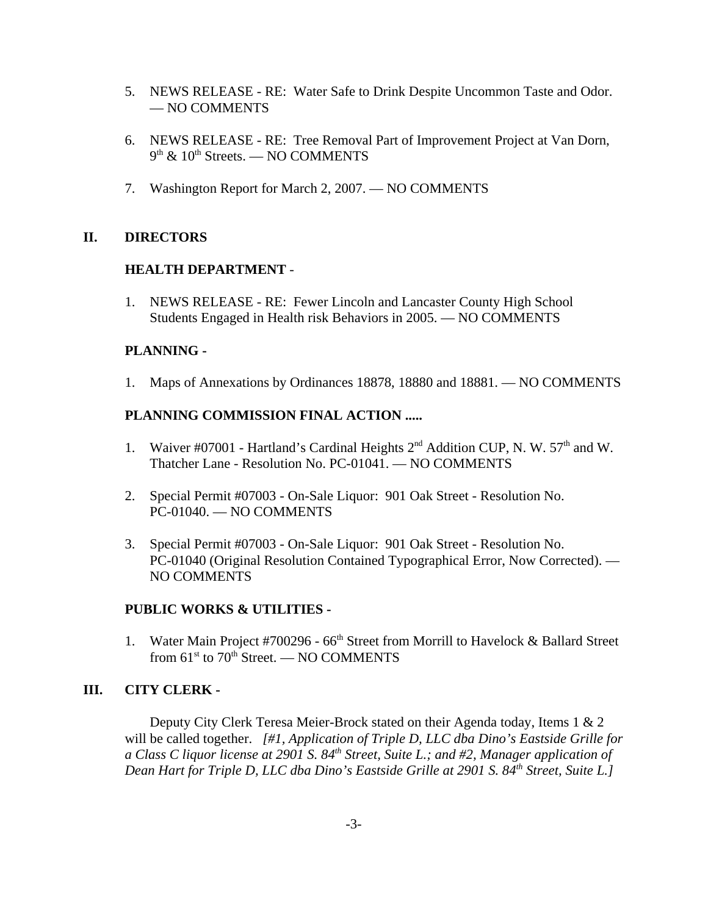- 5. NEWS RELEASE RE: Water Safe to Drink Despite Uncommon Taste and Odor. — NO COMMENTS
- 6. NEWS RELEASE RE: Tree Removal Part of Improvement Project at Van Dorn,  $9<sup>th</sup>$  &  $10<sup>th</sup>$  Streets. — NO COMMENTS
- 7. Washington Report for March 2, 2007. NO COMMENTS

### **II. DIRECTORS**

### **HEALTH DEPARTMENT** -

1. NEWS RELEASE - RE: Fewer Lincoln and Lancaster County High School Students Engaged in Health risk Behaviors in 2005. — NO COMMENTS

### **PLANNING -**

1. Maps of Annexations by Ordinances 18878, 18880 and 18881. — NO COMMENTS

### **PLANNING COMMISSION FINAL ACTION .....**

- 1. Waiver #07001 Hartland's Cardinal Heights  $2<sup>nd</sup>$  Addition CUP, N. W. 57<sup>th</sup> and W. Thatcher Lane - Resolution No. PC-01041. — NO COMMENTS
- 2. Special Permit #07003 On-Sale Liquor: 901 Oak Street Resolution No. PC-01040. — NO COMMENTS
- 3. Special Permit #07003 On-Sale Liquor: 901 Oak Street Resolution No. PC-01040 (Original Resolution Contained Typographical Error, Now Corrected). — NO COMMENTS

### **PUBLIC WORKS & UTILITIES -**

1. Water Main Project #700296 - 66<sup>th</sup> Street from Morrill to Havelock & Ballard Street from  $61<sup>st</sup>$  to  $70<sup>th</sup>$  Street. — NO COMMENTS

## **III. CITY CLERK -**

Deputy City Clerk Teresa Meier-Brock stated on their Agenda today, Items 1 & 2 will be called together. *[#1, Application of Triple D, LLC dba Dino's Eastside Grille for a Class C liquor license at 2901 S. 84th Street, Suite L.; and #2, Manager application of Dean Hart for Triple D, LLC dba Dino's Eastside Grille at 2901 S. 84th Street, Suite L.]*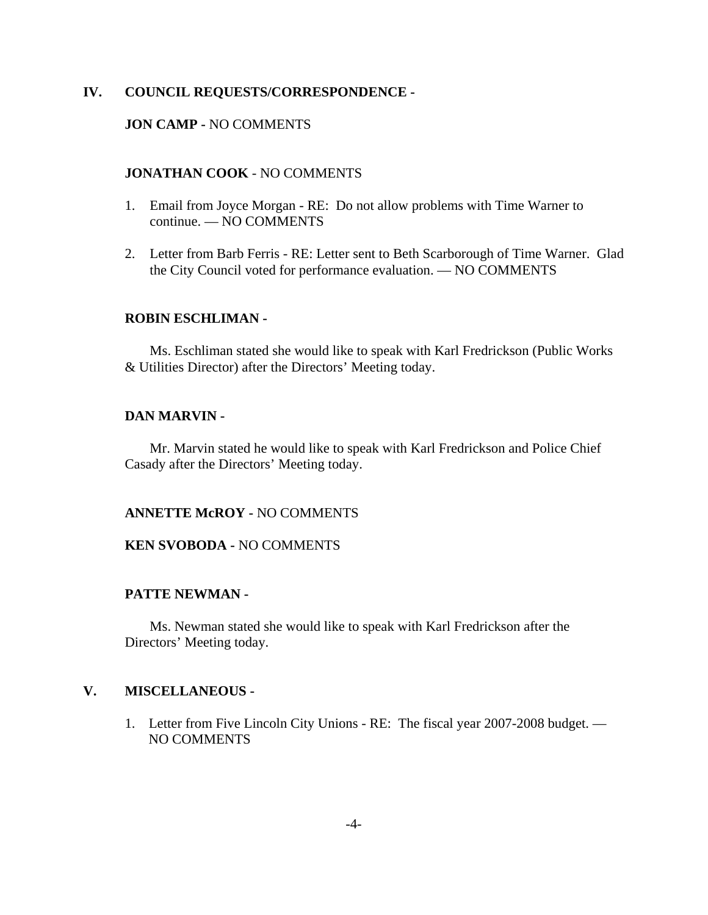### **IV. COUNCIL REQUESTS/CORRESPONDENCE -**

### **JON CAMP -** NO COMMENTS

#### **JONATHAN COOK** - NO COMMENTS

- 1. Email from Joyce Morgan RE: Do not allow problems with Time Warner to continue. — NO COMMENTS
- 2. Letter from Barb Ferris RE: Letter sent to Beth Scarborough of Time Warner. Glad the City Council voted for performance evaluation. — NO COMMENTS

#### **ROBIN ESCHLIMAN -**

Ms. Eschliman stated she would like to speak with Karl Fredrickson (Public Works & Utilities Director) after the Directors' Meeting today.

#### **DAN MARVIN -**

Mr. Marvin stated he would like to speak with Karl Fredrickson and Police Chief Casady after the Directors' Meeting today.

#### **ANNETTE McROY -** NO COMMENTS

#### **KEN SVOBODA -** NO COMMENTS

#### **PATTE NEWMAN -**

Ms. Newman stated she would like to speak with Karl Fredrickson after the Directors' Meeting today.

#### **V. MISCELLANEOUS -**

1. Letter from Five Lincoln City Unions - RE: The fiscal year 2007-2008 budget. — NO COMMENTS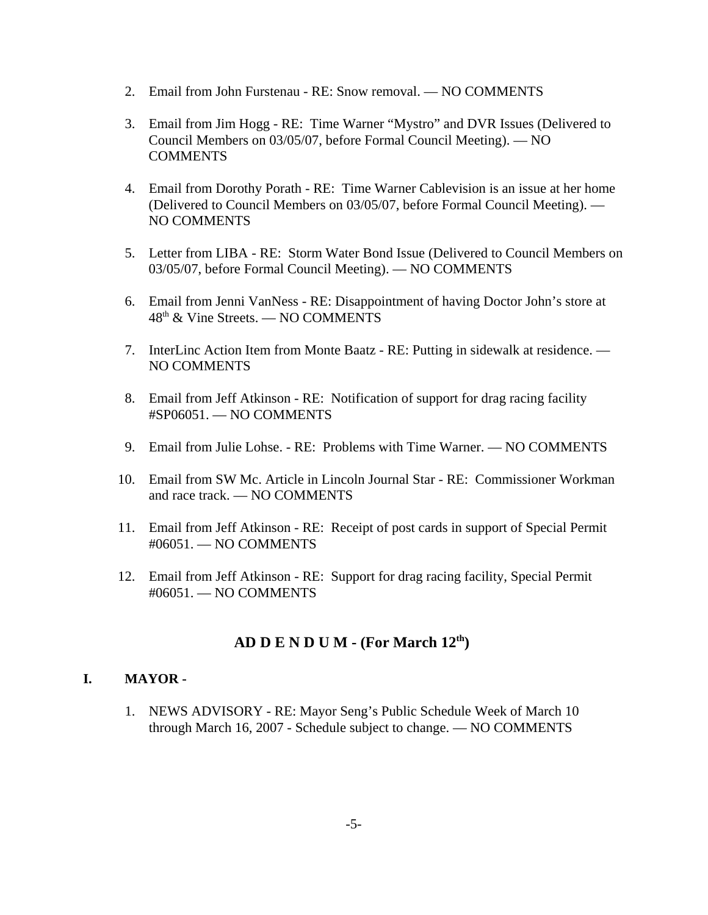- 2. Email from John Furstenau RE: Snow removal. NO COMMENTS
- 3. Email from Jim Hogg RE: Time Warner "Mystro" and DVR Issues (Delivered to Council Members on 03/05/07, before Formal Council Meeting). — NO COMMENTS
- 4. Email from Dorothy Porath RE: Time Warner Cablevision is an issue at her home (Delivered to Council Members on 03/05/07, before Formal Council Meeting). — NO COMMENTS
- 5. Letter from LIBA RE: Storm Water Bond Issue (Delivered to Council Members on 03/05/07, before Formal Council Meeting). — NO COMMENTS
- 6. Email from Jenni VanNess RE: Disappointment of having Doctor John's store at 48th & Vine Streets. — NO COMMENTS
- 7. InterLinc Action Item from Monte Baatz RE: Putting in sidewalk at residence. NO COMMENTS
- 8. Email from Jeff Atkinson RE: Notification of support for drag racing facility #SP06051. — NO COMMENTS
- 9. Email from Julie Lohse. RE: Problems with Time Warner. NO COMMENTS
- 10. Email from SW Mc. Article in Lincoln Journal Star RE: Commissioner Workman and race track. — NO COMMENTS
- 11. Email from Jeff Atkinson RE: Receipt of post cards in support of Special Permit #06051. — NO COMMENTS
- 12. Email from Jeff Atkinson RE: Support for drag racing facility, Special Permit #06051. — NO COMMENTS

# **AD D E N D U M - (For March 12th)**

#### **I. MAYOR -**

1. NEWS ADVISORY - RE: Mayor Seng's Public Schedule Week of March 10 through March 16, 2007 - Schedule subject to change. — NO COMMENTS